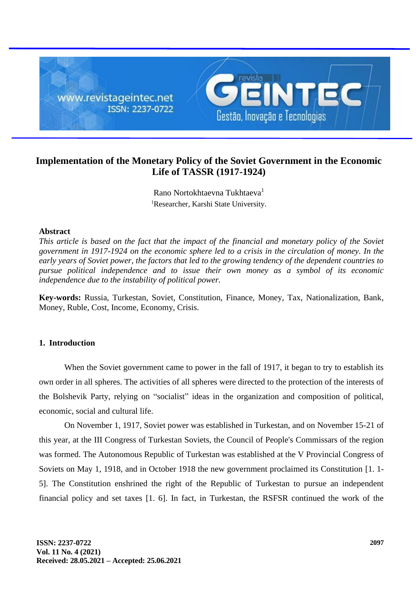

# **Implementation of the Monetary Policy of the Soviet Government in the Economic Life of TASSR (1917-1924)**

Rano Nortokhtaevna Tukhtaeva<sup>1</sup> <sup>1</sup>Researcher, Karshi State University.

## **Abstract**

*This article is based on the fact that the impact of the financial and monetary policy of the Soviet government in 1917-1924 on the economic sphere led to a crisis in the circulation of money. In the early years of Soviet power, the factors that led to the growing tendency of the dependent countries to pursue political independence and to issue their own money as a symbol of its economic independence due to the instability of political power.*

**Key-words:** Russia, Turkestan, Soviet, Constitution, Finance, Money, Tax, Nationalization, Bank, Money, Ruble, Cost, Income, Economy, Crisis.

## **1. Introduction**

When the Soviet government came to power in the fall of 1917, it began to try to establish its own order in all spheres. The activities of all spheres were directed to the protection of the interests of the Bolshevik Party, relying on "socialist" ideas in the organization and composition of political, economic, social and cultural life.

On November 1, 1917, Soviet power was established in Turkestan, and on November 15-21 of this year, at the III Congress of Turkestan Soviets, the Council of People's Commissars of the region was formed. The Autonomous Republic of Turkestan was established at the V Provincial Congress of Soviets on May 1, 1918, and in October 1918 the new government proclaimed its Constitution [1. 1- 5]. The Constitution enshrined the right of the Republic of Turkestan to pursue an independent financial policy and set taxes [1. 6]. In fact, in Turkestan, the RSFSR continued the work of the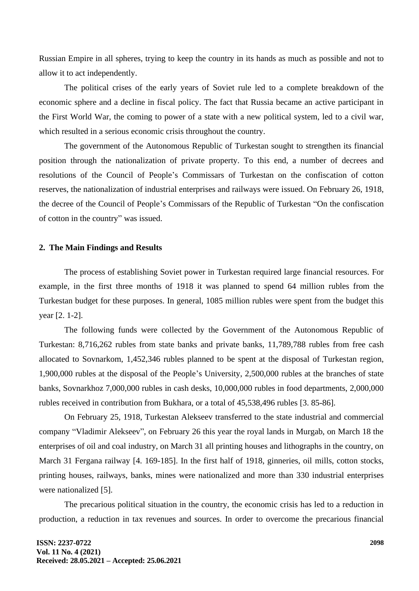Russian Empire in all spheres, trying to keep the country in its hands as much as possible and not to allow it to act independently.

The political crises of the early years of Soviet rule led to a complete breakdown of the economic sphere and a decline in fiscal policy. The fact that Russia became an active participant in the First World War, the coming to power of a state with a new political system, led to a civil war, which resulted in a serious economic crisis throughout the country.

The government of the Autonomous Republic of Turkestan sought to strengthen its financial position through the nationalization of private property. To this end, a number of decrees and resolutions of the Council of People's Commissars of Turkestan on the confiscation of cotton reserves, the nationalization of industrial enterprises and railways were issued. On February 26, 1918, the decree of the Council of People's Commissars of the Republic of Turkestan "On the confiscation of cotton in the country" was issued.

#### **2. The Main Findings and Results**

The process of establishing Soviet power in Turkestan required large financial resources. For example, in the first three months of 1918 it was planned to spend 64 million rubles from the Turkestan budget for these purposes. In general, 1085 million rubles were spent from the budget this year [2. 1-2].

The following funds were collected by the Government of the Autonomous Republic of Turkestan: 8,716,262 rubles from state banks and private banks, 11,789,788 rubles from free cash allocated to Sovnarkom, 1,452,346 rubles planned to be spent at the disposal of Turkestan region, 1,900,000 rubles at the disposal of the People's University, 2,500,000 rubles at the branches of state banks, Sovnarkhoz 7,000,000 rubles in cash desks, 10,000,000 rubles in food departments, 2,000,000 rubles received in contribution from Bukhara, or a total of 45,538,496 rubles [3. 85-86].

On February 25, 1918, Turkestan Alekseev transferred to the state industrial and commercial company "Vladimir Alekseev", on February 26 this year the royal lands in Murgab, on March 18 the enterprises of oil and coal industry, on March 31 all printing houses and lithographs in the country, on March 31 Fergana railway [4. 169-185]. In the first half of 1918, ginneries, oil mills, cotton stocks, printing houses, railways, banks, mines were nationalized and more than 330 industrial enterprises were nationalized [5].

The precarious political situation in the country, the economic crisis has led to a reduction in production, a reduction in tax revenues and sources. In order to overcome the precarious financial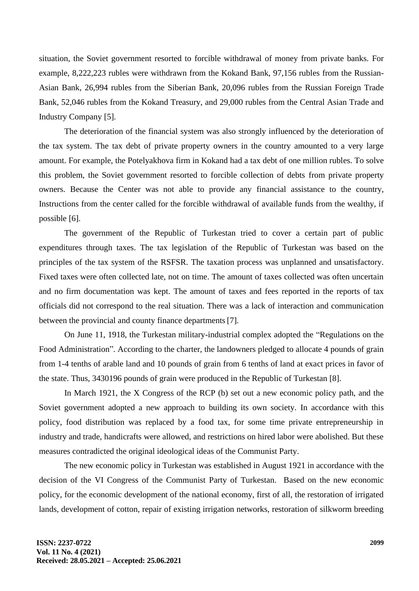situation, the Soviet government resorted to forcible withdrawal of money from private banks. For example, 8,222,223 rubles were withdrawn from the Kokand Bank, 97,156 rubles from the Russian-Asian Bank, 26,994 rubles from the Siberian Bank, 20,096 rubles from the Russian Foreign Trade Bank, 52,046 rubles from the Kokand Treasury, and 29,000 rubles from the Central Asian Trade and Industry Company [5].

The deterioration of the financial system was also strongly influenced by the deterioration of the tax system. The tax debt of private property owners in the country amounted to a very large amount. For example, the Potelyakhova firm in Kokand had a tax debt of one million rubles. To solve this problem, the Soviet government resorted to forcible collection of debts from private property owners. Because the Center was not able to provide any financial assistance to the country, Instructions from the center called for the forcible withdrawal of available funds from the wealthy, if possible [6].

The government of the Republic of Turkestan tried to cover a certain part of public expenditures through taxes. The tax legislation of the Republic of Turkestan was based on the principles of the tax system of the RSFSR. The taxation process was unplanned and unsatisfactory. Fixed taxes were often collected late, not on time. The amount of taxes collected was often uncertain and no firm documentation was kept. The amount of taxes and fees reported in the reports of tax officials did not correspond to the real situation. There was a lack of interaction and communication between the provincial and county finance departments[7].

On June 11, 1918, the Turkestan military-industrial complex adopted the "Regulations on the Food Administration". According to the charter, the landowners pledged to allocate 4 pounds of grain from 1-4 tenths of arable land and 10 pounds of grain from 6 tenths of land at exact prices in favor of the state. Thus, 3430196 pounds of grain were produced in the Republic of Turkestan [8].

In March 1921, the X Congress of the RCP (b) set out a new economic policy path, and the Soviet government adopted a new approach to building its own society. In accordance with this policy, food distribution was replaced by a food tax, for some time private entrepreneurship in industry and trade, handicrafts were allowed, and restrictions on hired labor were abolished. But these measures contradicted the original ideological ideas of the Communist Party.

The new economic policy in Turkestan was established in August 1921 in accordance with the decision of the VI Congress of the Communist Party of Turkestan. Based on the new economic policy, for the economic development of the national economy, first of all, the restoration of irrigated lands, development of cotton, repair of existing irrigation networks, restoration of silkworm breeding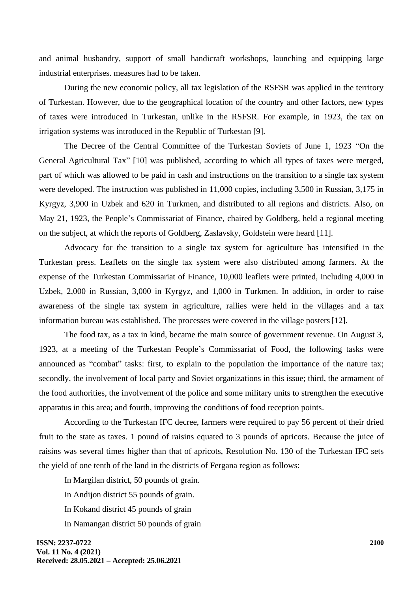and animal husbandry, support of small handicraft workshops, launching and equipping large industrial enterprises. measures had to be taken.

During the new economic policy, all tax legislation of the RSFSR was applied in the territory of Turkestan. However, due to the geographical location of the country and other factors, new types of taxes were introduced in Turkestan, unlike in the RSFSR. For example, in 1923, the tax on irrigation systems was introduced in the Republic of Turkestan [9].

The Decree of the Central Committee of the Turkestan Soviets of June 1, 1923 "On the General Agricultural Tax" [10] was published, according to which all types of taxes were merged, part of which was allowed to be paid in cash and instructions on the transition to a single tax system were developed. The instruction was published in 11,000 copies, including 3,500 in Russian, 3,175 in Kyrgyz, 3,900 in Uzbek and 620 in Turkmen, and distributed to all regions and districts. Also, on May 21, 1923, the People's Commissariat of Finance, chaired by Goldberg, held a regional meeting on the subject, at which the reports of Goldberg, Zaslavsky, Goldstein were heard [11].

Advocacy for the transition to a single tax system for agriculture has intensified in the Turkestan press. Leaflets on the single tax system were also distributed among farmers. At the expense of the Turkestan Commissariat of Finance, 10,000 leaflets were printed, including 4,000 in Uzbek, 2,000 in Russian, 3,000 in Kyrgyz, and 1,000 in Turkmen. In addition, in order to raise awareness of the single tax system in agriculture, rallies were held in the villages and a tax information bureau was established. The processes were covered in the village posters[12].

The food tax, as a tax in kind, became the main source of government revenue. On August 3, 1923, at a meeting of the Turkestan People's Commissariat of Food, the following tasks were announced as "combat" tasks: first, to explain to the population the importance of the nature tax; secondly, the involvement of local party and Soviet organizations in this issue; third, the armament of the food authorities, the involvement of the police and some military units to strengthen the executive apparatus in this area; and fourth, improving the conditions of food reception points.

According to the Turkestan IFC decree, farmers were required to pay 56 percent of their dried fruit to the state as taxes. 1 pound of raisins equated to 3 pounds of apricots. Because the juice of raisins was several times higher than that of apricots, Resolution No. 130 of the Turkestan IFC sets the yield of one tenth of the land in the districts of Fergana region as follows:

In Margilan district, 50 pounds of grain.

In Andijon district 55 pounds of grain.

- In Kokand district 45 pounds of grain
- In Namangan district 50 pounds of grain

**ISSN: 2237-0722 Vol. 11 No. 4 (2021) Received: 28.05.2021 – Accepted: 25.06.2021**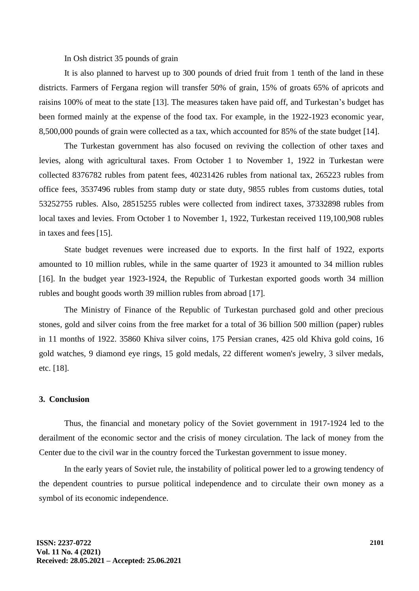In Osh district 35 pounds of grain

It is also planned to harvest up to 300 pounds of dried fruit from 1 tenth of the land in these districts. Farmers of Fergana region will transfer 50% of grain, 15% of groats 65% of apricots and raisins 100% of meat to the state [13]. The measures taken have paid off, and Turkestan's budget has been formed mainly at the expense of the food tax. For example, in the 1922-1923 economic year, 8,500,000 pounds of grain were collected as a tax, which accounted for 85% of the state budget [14].

The Turkestan government has also focused on reviving the collection of other taxes and levies, along with agricultural taxes. From October 1 to November 1, 1922 in Turkestan were collected 8376782 rubles from patent fees, 40231426 rubles from national tax, 265223 rubles from office fees, 3537496 rubles from stamp duty or state duty, 9855 rubles from customs duties, total 53252755 rubles. Also, 28515255 rubles were collected from indirect taxes, 37332898 rubles from local taxes and levies. From October 1 to November 1, 1922, Turkestan received 119,100,908 rubles in taxes and fees[15].

State budget revenues were increased due to exports. In the first half of 1922, exports amounted to 10 million rubles, while in the same quarter of 1923 it amounted to 34 million rubles [16]. In the budget year 1923-1924, the Republic of Turkestan exported goods worth 34 million rubles and bought goods worth 39 million rubles from abroad [17].

The Ministry of Finance of the Republic of Turkestan purchased gold and other precious stones, gold and silver coins from the free market for a total of 36 billion 500 million (paper) rubles in 11 months of 1922. 35860 Khiva silver coins, 175 Persian cranes, 425 old Khiva gold coins, 16 gold watches, 9 diamond eye rings, 15 gold medals, 22 different women's jewelry, 3 silver medals, etc. [18].

## **3. Conclusion**

Thus, the financial and monetary policy of the Soviet government in 1917-1924 led to the derailment of the economic sector and the crisis of money circulation. The lack of money from the Center due to the civil war in the country forced the Turkestan government to issue money.

In the early years of Soviet rule, the instability of political power led to a growing tendency of the dependent countries to pursue political independence and to circulate their own money as a symbol of its economic independence.